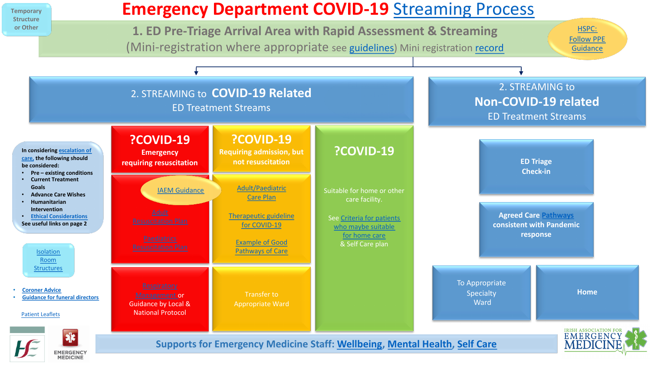